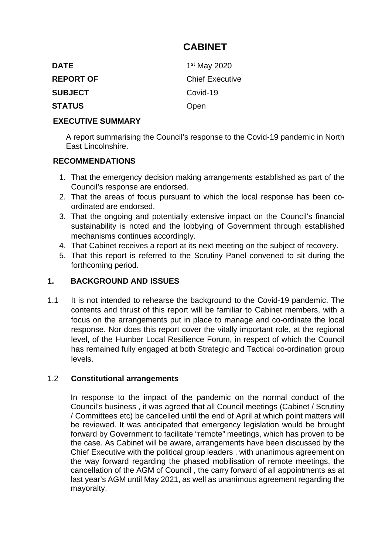# **CABINET**

| <b>DATE</b>      | 1 <sup>st</sup> May 2020 |
|------------------|--------------------------|
| <b>REPORT OF</b> | <b>Chief Executive</b>   |
| <b>SUBJECT</b>   | Covid-19                 |
| <b>STATUS</b>    | Open                     |

#### **EXECUTIVE SUMMARY**

A report summarising the Council's response to the Covid-19 pandemic in North East Lincolnshire.

#### **RECOMMENDATIONS**

- 1. That the emergency decision making arrangements established as part of the Council's response are endorsed.
- 2. That the areas of focus pursuant to which the local response has been coordinated are endorsed.
- 3. That the ongoing and potentially extensive impact on the Council's financial sustainability is noted and the lobbying of Government through established mechanisms continues accordingly.
- 4. That Cabinet receives a report at its next meeting on the subject of recovery.
- 5. That this report is referred to the Scrutiny Panel convened to sit during the forthcoming period.

#### **1. BACKGROUND AND ISSUES**

1.1 It is not intended to rehearse the background to the Covid-19 pandemic. The contents and thrust of this report will be familiar to Cabinet members, with a focus on the arrangements put in place to manage and co-ordinate the local response. Nor does this report cover the vitally important role, at the regional level, of the Humber Local Resilience Forum, in respect of which the Council has remained fully engaged at both Strategic and Tactical co-ordination group levels.

#### 1.2 **Constitutional arrangements**

In response to the impact of the pandemic on the normal conduct of the Council's business , it was agreed that all Council meetings (Cabinet / Scrutiny / Committees etc) be cancelled until the end of April at which point matters will be reviewed. It was anticipated that emergency legislation would be brought forward by Government to facilitate "remote" meetings, which has proven to be the case. As Cabinet will be aware, arrangements have been discussed by the Chief Executive with the political group leaders , with unanimous agreement on the way forward regarding the phased mobilisation of remote meetings, the cancellation of the AGM of Council , the carry forward of all appointments as at last year's AGM until May 2021, as well as unanimous agreement regarding the mayoralty.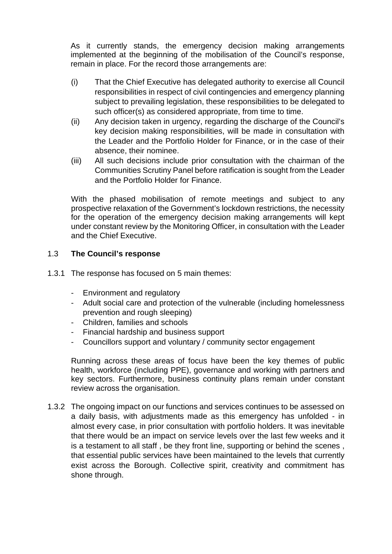As it currently stands, the emergency decision making arrangements implemented at the beginning of the mobilisation of the Council's response, remain in place. For the record those arrangements are:

- (i) That the Chief Executive has delegated authority to exercise all Council responsibilities in respect of civil contingencies and emergency planning subject to prevailing legislation, these responsibilities to be delegated to such officer(s) as considered appropriate, from time to time.
- (ii) Any decision taken in urgency, regarding the discharge of the Council's key decision making responsibilities, will be made in consultation with the Leader and the Portfolio Holder for Finance, or in the case of their absence, their nominee.
- (iii) All such decisions include prior consultation with the chairman of the Communities Scrutiny Panel before ratification is sought from the Leader and the Portfolio Holder for Finance.

With the phased mobilisation of remote meetings and subject to any prospective relaxation of the Government's lockdown restrictions, the necessity for the operation of the emergency decision making arrangements will kept under constant review by the Monitoring Officer, in consultation with the Leader and the Chief Executive.

## 1.3 **The Council's response**

- 1.3.1 The response has focused on 5 main themes:
	- Environment and regulatory
	- Adult social care and protection of the vulnerable (including homelessness prevention and rough sleeping)
	- Children, families and schools
	- Financial hardship and business support
	- Councillors support and voluntary / community sector engagement

Running across these areas of focus have been the key themes of public health, workforce (including PPE), governance and working with partners and key sectors. Furthermore, business continuity plans remain under constant review across the organisation.

1.3.2 The ongoing impact on our functions and services continues to be assessed on a daily basis, with adjustments made as this emergency has unfolded - in almost every case, in prior consultation with portfolio holders. It was inevitable that there would be an impact on service levels over the last few weeks and it is a testament to all staff , be they front line, supporting or behind the scenes , that essential public services have been maintained to the levels that currently exist across the Borough. Collective spirit, creativity and commitment has shone through.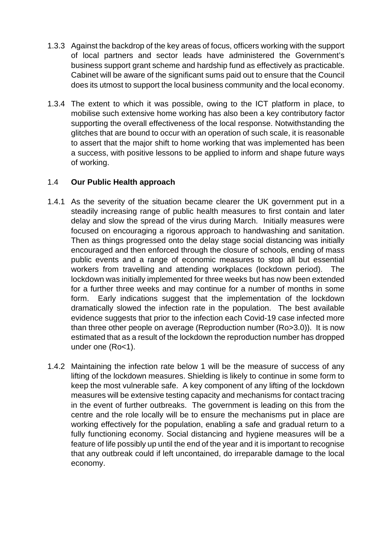- 1.3.3 Against the backdrop of the key areas of focus, officers working with the support of local partners and sector leads have administered the Government's business support grant scheme and hardship fund as effectively as practicable. Cabinet will be aware of the significant sums paid out to ensure that the Council does its utmost to support the local business community and the local economy.
- 1.3.4 The extent to which it was possible, owing to the ICT platform in place, to mobilise such extensive home working has also been a key contributory factor supporting the overall effectiveness of the local response. Notwithstanding the glitches that are bound to occur with an operation of such scale, it is reasonable to assert that the major shift to home working that was implemented has been a success, with positive lessons to be applied to inform and shape future ways of working.

#### 1.4 **Our Public Health approach**

- 1.4.1 As the severity of the situation became clearer the UK government put in a steadily increasing range of public health measures to first contain and later delay and slow the spread of the virus during March. Initially measures were focused on encouraging a rigorous approach to handwashing and sanitation. Then as things progressed onto the delay stage social distancing was initially encouraged and then enforced through the closure of schools, ending of mass public events and a range of economic measures to stop all but essential workers from travelling and attending workplaces (lockdown period). The lockdown was initially implemented for three weeks but has now been extended for a further three weeks and may continue for a number of months in some form. Early indications suggest that the implementation of the lockdown dramatically slowed the infection rate in the population. The best available evidence suggests that prior to the infection each Covid-19 case infected more than three other people on average (Reproduction number (Ro>3.0)). It is now estimated that as a result of the lockdown the reproduction number has dropped under one (Ro<1).
- 1.4.2 Maintaining the infection rate below 1 will be the measure of success of any lifting of the lockdown measures. Shielding is likely to continue in some form to keep the most vulnerable safe. A key component of any lifting of the lockdown measures will be extensive testing capacity and mechanisms for contact tracing in the event of further outbreaks. The government is leading on this from the centre and the role locally will be to ensure the mechanisms put in place are working effectively for the population, enabling a safe and gradual return to a fully functioning economy. Social distancing and hygiene measures will be a feature of life possibly up until the end of the year and it is important to recognise that any outbreak could if left uncontained, do irreparable damage to the local economy.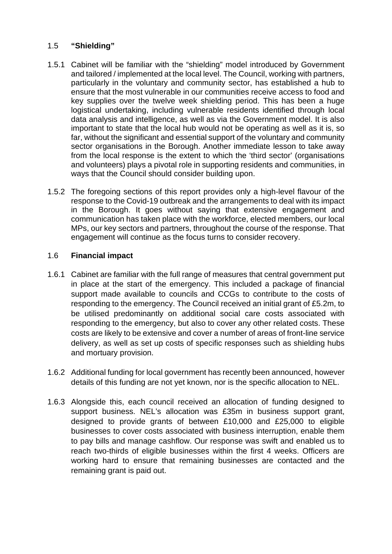#### 1.5 **"Shielding"**

- 1.5.1 Cabinet will be familiar with the "shielding" model introduced by Government and tailored / implemented at the local level. The Council, working with partners, particularly in the voluntary and community sector, has established a hub to ensure that the most vulnerable in our communities receive access to food and key supplies over the twelve week shielding period. This has been a huge logistical undertaking, including vulnerable residents identified through local data analysis and intelligence, as well as via the Government model. It is also important to state that the local hub would not be operating as well as it is, so far, without the significant and essential support of the voluntary and community sector organisations in the Borough. Another immediate lesson to take away from the local response is the extent to which the 'third sector' (organisations and volunteers) plays a pivotal role in supporting residents and communities, in ways that the Council should consider building upon.
- 1.5.2 The foregoing sections of this report provides only a high-level flavour of the response to the Covid-19 outbreak and the arrangements to deal with its impact in the Borough. It goes without saying that extensive engagement and communication has taken place with the workforce, elected members, our local MPs, our key sectors and partners, throughout the course of the response. That engagement will continue as the focus turns to consider recovery.

#### 1.6 **Financial impact**

- 1.6.1 Cabinet are familiar with the full range of measures that central government put in place at the start of the emergency. This included a package of financial support made available to councils and CCGs to contribute to the costs of responding to the emergency. The Council received an initial grant of £5.2m, to be utilised predominantly on additional social care costs associated with responding to the emergency, but also to cover any other related costs. These costs are likely to be extensive and cover a number of areas of front-line service delivery, as well as set up costs of specific responses such as shielding hubs and mortuary provision.
- 1.6.2 Additional funding for local government has recently been announced, however details of this funding are not yet known, nor is the specific allocation to NEL.
- 1.6.3 Alongside this, each council received an allocation of funding designed to support business. NEL's allocation was £35m in business support grant, designed to provide grants of between £10,000 and £25,000 to eligible businesses to cover costs associated with business interruption, enable them to pay bills and manage cashflow. Our response was swift and enabled us to reach two-thirds of eligible businesses within the first 4 weeks. Officers are working hard to ensure that remaining businesses are contacted and the remaining grant is paid out.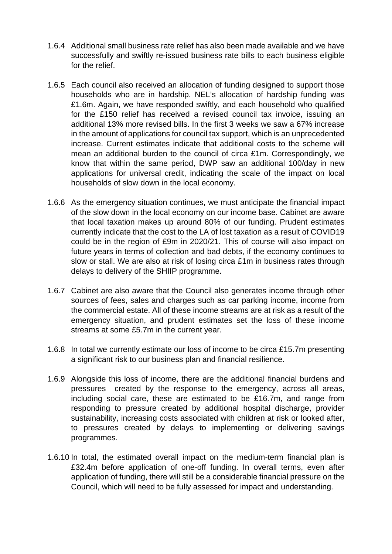- 1.6.4 Additional small business rate relief has also been made available and we have successfully and swiftly re-issued business rate bills to each business eligible for the relief.
- 1.6.5 Each council also received an allocation of funding designed to support those households who are in hardship. NEL's allocation of hardship funding was £1.6m. Again, we have responded swiftly, and each household who qualified for the £150 relief has received a revised council tax invoice, issuing an additional 13% more revised bills. In the first 3 weeks we saw a 67% increase in the amount of applications for council tax support, which is an unprecedented increase. Current estimates indicate that additional costs to the scheme will mean an additional burden to the council of circa £1m. Correspondingly, we know that within the same period, DWP saw an additional 100/day in new applications for universal credit, indicating the scale of the impact on local households of slow down in the local economy.
- 1.6.6 As the emergency situation continues, we must anticipate the financial impact of the slow down in the local economy on our income base. Cabinet are aware that local taxation makes up around 80% of our funding. Prudent estimates currently indicate that the cost to the LA of lost taxation as a result of COVID19 could be in the region of £9m in 2020/21. This of course will also impact on future years in terms of collection and bad debts, if the economy continues to slow or stall. We are also at risk of losing circa £1m in business rates through delays to delivery of the SHIIP programme.
- 1.6.7 Cabinet are also aware that the Council also generates income through other sources of fees, sales and charges such as car parking income, income from the commercial estate. All of these income streams are at risk as a result of the emergency situation, and prudent estimates set the loss of these income streams at some £5.7m in the current year.
- 1.6.8 In total we currently estimate our loss of income to be circa £15.7m presenting a significant risk to our business plan and financial resilience.
- 1.6.9 Alongside this loss of income, there are the additional financial burdens and pressures created by the response to the emergency, across all areas, including social care, these are estimated to be £16.7m, and range from responding to pressure created by additional hospital discharge, provider sustainability, increasing costs associated with children at risk or looked after, to pressures created by delays to implementing or delivering savings programmes.
- 1.6.10 In total, the estimated overall impact on the medium-term financial plan is £32.4m before application of one-off funding. In overall terms, even after application of funding, there will still be a considerable financial pressure on the Council, which will need to be fully assessed for impact and understanding.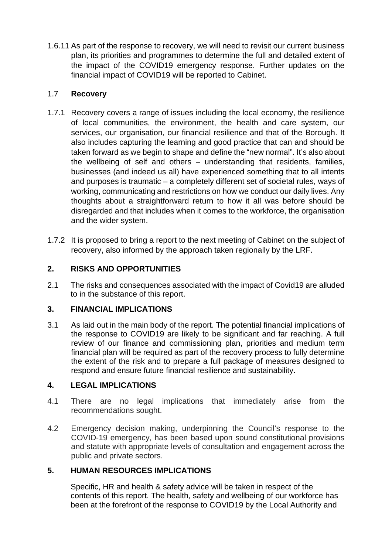1.6.11 As part of the response to recovery, we will need to revisit our current business plan, its priorities and programmes to determine the full and detailed extent of the impact of the COVID19 emergency response. Further updates on the financial impact of COVID19 will be reported to Cabinet.

#### 1.7 **Recovery**

- 1.7.1 Recovery covers a range of issues including the local economy, the resilience of local communities, the environment, the health and care system, our services, our organisation, our financial resilience and that of the Borough. It also includes capturing the learning and good practice that can and should be taken forward as we begin to shape and define the "new normal". It's also about the wellbeing of self and others – understanding that residents, families, businesses (and indeed us all) have experienced something that to all intents and purposes is traumatic – a completely different set of societal rules, ways of working, communicating and restrictions on how we conduct our daily lives. Any thoughts about a straightforward return to how it all was before should be disregarded and that includes when it comes to the workforce, the organisation and the wider system.
- 1.7.2 It is proposed to bring a report to the next meeting of Cabinet on the subject of recovery, also informed by the approach taken regionally by the LRF.

## **2. RISKS AND OPPORTUNITIES**

2.1 The risks and consequences associated with the impact of Covid19 are alluded to in the substance of this report.

#### **3. FINANCIAL IMPLICATIONS**

3.1 As laid out in the main body of the report. The potential financial implications of the response to COVID19 are likely to be significant and far reaching. A full review of our finance and commissioning plan, priorities and medium term financial plan will be required as part of the recovery process to fully determine the extent of the risk and to prepare a full package of measures designed to respond and ensure future financial resilience and sustainability.

#### **4. LEGAL IMPLICATIONS**

- 4.1 There are no legal implications that immediately arise from the recommendations sought.
- 4.2 Emergency decision making, underpinning the Council's response to the COVID-19 emergency, has been based upon sound constitutional provisions and statute with appropriate levels of consultation and engagement across the public and private sectors.

#### **5. HUMAN RESOURCES IMPLICATIONS**

Specific, HR and health & safety advice will be taken in respect of the contents of this report. The health, safety and wellbeing of our workforce has been at the forefront of the response to COVID19 by the Local Authority and